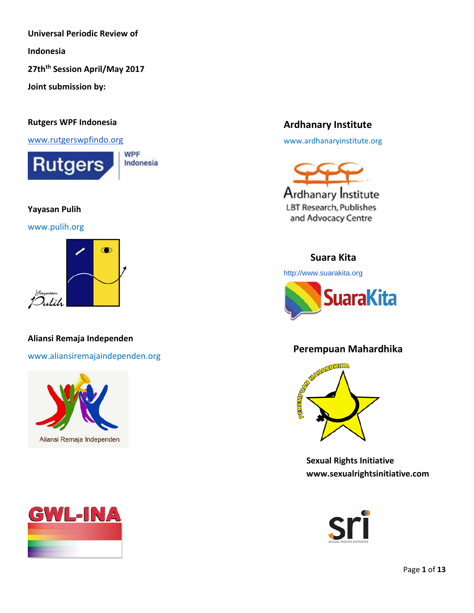**Universal Periodic Review of** 

**Indonesia**

**27thth Session April/May 2017**

**Joint submission by:**

#### **Rutgers WPF Indonesia**

[www.rutgerswpfindo.org](http://www.rutgerswpfindo.org/)



#### **Yayasan Pulih**

[www.pulih.org](http://www.pulih.org/)



## **Aliansi Remaja Independen**

[www.aliansiremajaindependen.org](http://www.aliansiremajaindependen.org/)





# **Ardhanary Institute**

[www.ardhanaryinstitute.org](http://www.ardhanaryinstitute.org/)



# **Suara Kita**

[http://www.suarakita.org](http://www.suarakita.org/)



# **Perempuan Mahardhika**



**Sexual Rights Initiative www.sexualrightsinitiative.com**

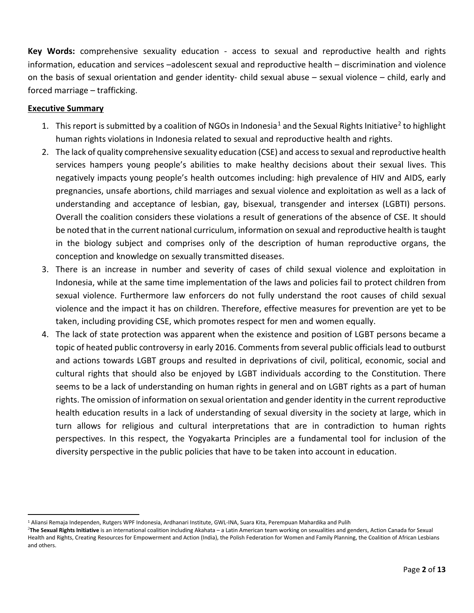**Key Words:** comprehensive sexuality education - access to sexual and reproductive health and rights information, education and services –adolescent sexual and reproductive health – discrimination and violence on the basis of sexual orientation and gender identity- child sexual abuse – sexual violence – child, early and forced marriage – trafficking.

### **Executive Summary**

- [1](#page-1-0). This report is submitted by a coalition of NGOs in Indonesia<sup>1</sup> and the Sexual Rights Initiative<sup>[2](#page-1-1)</sup> to highlight human rights violations in Indonesia related to sexual and reproductive health and rights.
- 2. The lack of quality comprehensive sexuality education (CSE) and access to sexual and reproductive health services hampers young people's abilities to make healthy decisions about their sexual lives. This negatively impacts young people's health outcomes including: high prevalence of HIV and AIDS, early pregnancies, unsafe abortions, child marriages and sexual violence and exploitation as well as a lack of understanding and acceptance of lesbian, gay, bisexual, transgender and intersex (LGBTI) persons. Overall the coalition considers these violations a result of generations of the absence of CSE. It should be noted that in the current national curriculum, information on sexual and reproductive health is taught in the biology subject and comprises only of the description of human reproductive organs, the conception and knowledge on sexually transmitted diseases.
- 3. There is an increase in number and severity of cases of child sexual violence and exploitation in Indonesia, while at the same time implementation of the laws and policies fail to protect children from sexual violence. Furthermore law enforcers do not fully understand the root causes of child sexual violence and the impact it has on children. Therefore, effective measures for prevention are yet to be taken, including providing CSE, which promotes respect for men and women equally.
- 4. The lack of state protection was apparent when the existence and position of LGBT persons became a topic of heated public controversy in early 2016. Comments from several public officials lead to outburst and actions towards LGBT groups and resulted in deprivations of civil, political, economic, social and cultural rights that should also be enjoyed by LGBT individuals according to the Constitution. There seems to be a lack of understanding on human rights in general and on LGBT rights as a part of human rights. The omission of information on sexual orientation and gender identity in the current reproductive health education results in a lack of understanding of sexual diversity in the society at large, which in turn allows for religious and cultural interpretations that are in contradiction to human rights perspectives. In this respect, the Yogyakarta Principles are a fundamental tool for inclusion of the diversity perspective in the public policies that have to be taken into account in education.

<span id="page-1-0"></span> <sup>1</sup> Aliansi Remaja Independen, Rutgers WPF Indonesia, Ardhanari Institute, GWL-INA, Suara Kita, Perempuan Mahardika and Pulih

<span id="page-1-1"></span><sup>2</sup> **The Sexual Rights Initiative** is an international coalition including Akahata – a Latin American team working on sexualities and genders, Action Canada for Sexual Health and Rights, Creating Resources for Empowerment and Action (India), the Polish Federation for Women and Family Planning, the Coalition of African Lesbians and others.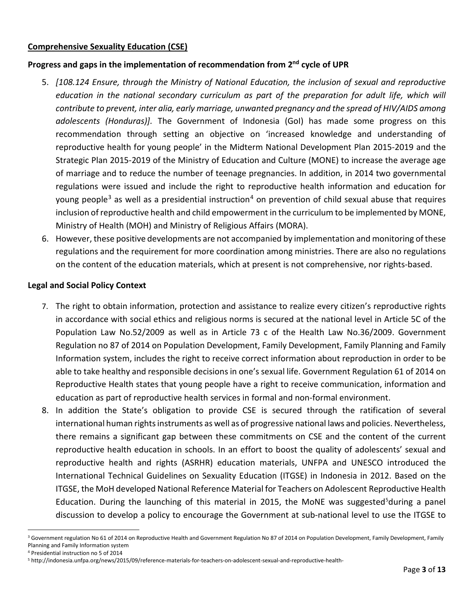## **Comprehensive Sexuality Education (CSE)**

## **Progress and gaps in the implementation of recommendation from 2nd cycle of UPR**

- 5. *[108.124 Ensure, through the Ministry of National Education, the inclusion of sexual and reproductive education in the national secondary curriculum as part of the preparation for adult life, which will contribute to prevent, inter alia, early marriage, unwanted pregnancy and the spread of HIV/AIDS among adolescents (Honduras)].* The Government of Indonesia (GoI) has made some progress on this recommendation through setting an objective on 'increased knowledge and understanding of reproductive health for young people' in the Midterm National Development Plan 2015-2019 and the Strategic Plan 2015-2019 of the Ministry of Education and Culture (MONE) to increase the average age of marriage and to reduce the number of teenage pregnancies. In addition, in 2014 two governmental regulations were issued and include the right to reproductive health information and education for young people<sup>[3](#page-2-0)</sup> as well as a presidential instruction<sup>[4](#page-2-1)</sup> on prevention of child sexual abuse that requires inclusion of reproductive health and child empowerment in the curriculum to be implemented by MONE, Ministry of Health (MOH) and Ministry of Religious Affairs (MORA).
- 6. However, these positive developments are not accompanied by implementation and monitoring of these regulations and the requirement for more coordination among ministries. There are also no regulations on the content of the education materials, which at present is not comprehensive, nor rights-based.

#### **Legal and Social Policy Context**

- 7. The right to obtain information, protection and assistance to realize every citizen's reproductive rights in accordance with social ethics and religious norms is secured at the national level in Article 5C of the Population Law No.52/2009 as well as in Article 73 c of the Health Law No.36/2009. Government Regulation no 87 of 2014 on Population Development, Family Development, Family Planning and Family Information system, includes the right to receive correct information about reproduction in order to be able to take healthy and responsible decisions in one's sexual life. Government Regulation 61 of 2014 on Reproductive Health states that young people have a right to receive communication, information and education as part of reproductive health services in formal and non-formal environment.
- 8. In addition the State's obligation to provide CSE is secured through the ratification of several international human rights instruments as well as of progressive national laws and policies. Nevertheless, there remains a significant gap between these commitments on CSE and the content of the current reproductive health education in schools. In an effort to boost the quality of adolescents' sexual and reproductive health and rights (ASRHR) education materials, UNFPA and UNESCO introduced the International Technical Guidelines on Sexuality Education (ITGSE) in Indonesia in 2012. Based on the ITGSE, the MoH developed National Reference Material for Teachers on Adolescent Reproductive Health Education. During the launching of this material in 201[5](#page-2-2), the MoNE was suggested<sup>5</sup>during a panel discussion to develop a policy to encourage the Government at sub-national level to use the ITGSE to

<span id="page-2-0"></span><sup>&</sup>lt;sup>3</sup> Government regulation No 61 of 2014 on Reproductive Health and Government Regulation No 87 of 2014 on Population Development, Family Development, Family Planning and Family Information system

<span id="page-2-1"></span><sup>4</sup> Presidential instruction no 5 of 2014

<span id="page-2-2"></span><sup>5</sup> http://indonesia.unfpa.org/news/2015/09/reference-materials-for-teachers-on-adolescent-sexual-and-reproductive-health-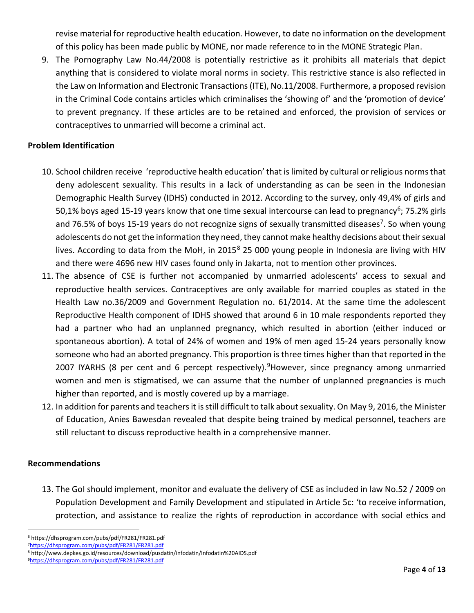revise material for reproductive health education. However, to date no information on the development of this policy has been made public by MONE, nor made reference to in the MONE Strategic Plan.

9. The Pornography Law No.44/2008 is potentially restrictive as it prohibits all materials that depict anything that is considered to violate moral norms in society. This restrictive stance is also reflected in the Law on Information and Electronic Transactions (ITE), No.11/2008. Furthermore, a proposed revision in the Criminal Code contains articles which criminalises the 'showing of' and the 'promotion of device' to prevent pregnancy. If these articles are to be retained and enforced, the provision of services or contraceptives to unmarried will become a criminal act.

### **Problem Identification**

- 10. School children receive 'reproductive health education' that is limited by cultural or religious norms that deny adolescent sexuality. This results in a **l**ack of understanding as can be seen in the Indonesian Demographic Health Survey (IDHS) conducted in 2012. According to the survey, only 49,4% of girls and 50,1% boys aged 15-19 years know that one time sexual intercourse can lead to pregnancy<sup>6</sup>; 75.2% girls and [7](#page-3-1)6.5% of boys 15-19 years do not recognize signs of sexually transmitted diseases<sup>7</sup>. So when young adolescents do not get the information they need, they cannot make healthy decisions about their sexual lives. According to data from the MoH, in 2015<sup>[8](#page-3-2)</sup> 25 000 young people in Indonesia are living with HIV and there were 4696 new HIV cases found only in Jakarta, not to mention other provinces.
- 11. The absence of CSE is further not accompanied by unmarried adolescents' access to sexual and reproductive health services. Contraceptives are only available for married couples as stated in the Health Law no.36/2009 and Government Regulation no. 61/2014. At the same time the adolescent Reproductive Health component of IDHS showed that around 6 in 10 male respondents reported they had a partner who had an unplanned pregnancy, which resulted in abortion (either induced or spontaneous abortion). A total of 24% of women and 19% of men aged 15-24 years personally know someone who had an aborted pregnancy. This proportion is three times higher than that reported in the 2007 IYARHS (8 per cent and 6 percept respectively).<sup>[9](#page-3-3)</sup>However, since pregnancy among unmarried women and men is stigmatised, we can assume that the number of unplanned pregnancies is much higher than reported, and is mostly covered up by a marriage.
- 12. In addition for parents and teachers it is still difficult to talk about sexuality. On May 9, 2016, the Minister of Education, Anies Bawesdan revealed that despite being trained by medical personnel, teachers are still reluctant to discuss reproductive health in a comprehensive manner.

#### **Recommendations**

13. The GoI should implement, monitor and evaluate the delivery of CSE as included in law No.52 / 2009 on Population Development and Family Development and stipulated in Article 5c: 'to receive information, protection, and assistance to realize the rights of reproduction in accordance with social ethics and

<span id="page-3-0"></span> <sup>6</sup> https://dhsprogram.com/pubs/pdf/FR281/FR281.pdf

<span id="page-3-1"></span>[<sup>7</sup>https://dhsprogram.com/pubs/pdf/FR281/FR281.pdf](https://dhsprogram.com/pubs/pdf/FR281/FR281.pdf)

<span id="page-3-2"></span><sup>8</sup> http://www.depkes.go.id/resources/download/pusdatin/infodatin/Infodatin%20AIDS.pdf

<span id="page-3-3"></span>[<sup>9</sup>https://dhsprogram.com/pubs/pdf/FR281/FR281.pdf](https://dhsprogram.com/pubs/pdf/FR281/FR281.pdf)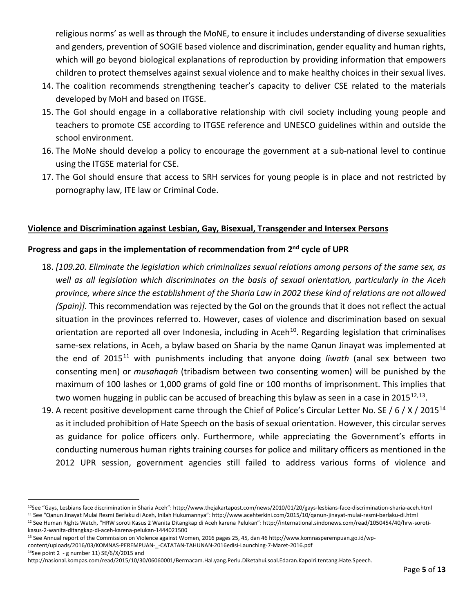religious norms' as well as through the MoNE, to ensure it includes understanding of diverse sexualities and genders, prevention of SOGIE based violence and discrimination, gender equality and human rights, which will go beyond biological explanations of reproduction by providing information that empowers children to protect themselves against sexual violence and to make healthy choices in their sexual lives.

- 14. The coalition recommends strengthening teacher's capacity to deliver CSE related to the materials developed by MoH and based on ITGSE.
- 15. The GoI should engage in a collaborative relationship with civil society including young people and teachers to promote CSE according to ITGSE reference and UNESCO guidelines within and outside the school environment.
- 16. The MoNe should develop a policy to encourage the government at a sub-national level to continue using the ITGSE material for CSE.
- 17. The GoI should ensure that access to SRH services for young people is in place and not restricted by pornography law, ITE law or Criminal Code.

### **Violence and Discrimination against Lesbian, Gay, Bisexual, Transgender and Intersex Persons**

# **Progress and gaps in the implementation of recommendation from 2nd cycle of UPR**

- 18. *[109.20. Eliminate the legislation which criminalizes sexual relations among persons of the same sex, as well as all legislation which discriminates on the basis of sexual orientation, particularly in the Aceh province, where since the establishment of the Sharia Law in 2002 these kind of relations are not allowed (Spain)].* This recommendation was rejected by the GoI on the grounds that it does not reflect the actual situation in the provinces referred to. However, cases of violence and discrimination based on sexual orientation are reported all over Indonesia, including in Aceh<sup>[10](#page-4-0)</sup>. Regarding legislation that criminalises same-sex relations, in Aceh, a bylaw based on Sharia by the name Qanun Jinayat was implemented at the end of 2015[11](#page-4-1) with punishments including that anyone doing *liwath* (anal sex between two consenting men) or *musahaqah* (tribadism between two consenting women) will be punished by the maximum of 100 lashes or 1,000 grams of gold fine or 100 months of imprisonment. This implies that two women hugging in public can be accused of breaching this bylaw as seen in a case in 2015 $^{12,13}$  $^{12,13}$  $^{12,13}$ .
- 19. A recent positive development came through the Chief of Police's Circular Letter No. SE / 6 / X / 2015<sup>[14](#page-4-4)</sup> as it included prohibition of Hate Speech on the basis of sexual orientation. However, this circular serves as guidance for police officers only. Furthermore, while appreciating the Government's efforts in conducting numerous human rights training courses for police and military officers as mentioned in the 2012 UPR session, government agencies still failed to address various forms of violence and

<span id="page-4-0"></span> <sup>10</sup>See "Gays, Lesbians face discrimination in Sharia Aceh": http://www.thejakartapost.com/news/2010/01/20/gays-lesbians-face-discrimination-sharia-aceh.html <sup>11</sup> See "Qanun Jinayat Mulai Resmi Berlaku di Aceh, Inilah Hukumannya": http://www.acehterkini.com/2015/10/qanun-jinayat-mulai-resmi-berlaku-di.html

<span id="page-4-2"></span><span id="page-4-1"></span><sup>12</sup> See Human Rights Watch, "HRW soroti Kasus 2 Wanita Ditangkap di Aceh karena Pelukan": http://international.sindonews.com/read/1050454/40/hrw-soroti-

kasus-2-wanita-ditangkap-di-aceh-karena-pelukan-1444021500

<span id="page-4-3"></span><sup>&</sup>lt;sup>13</sup> See Annual report of the Commission on Violence against Women, 2016 pages 25, 45, dan 46 http://www.komnasperempuan.go.id/wpcontent/uploads/2016/03/KOMNAS-PEREMPUAN-\_-CATATAN-TAHUNAN-2016edisi-Launching-7-Maret-2016.pdf 14See point 2 - g number 11) SE/6/X/2015 and

<span id="page-4-4"></span>http://nasional.kompas.com/read/2015/10/30/06060001/Bermacam.Hal.yang.Perlu.Diketahui.soal.Edaran.Kapolri.tentang.Hate.Speech.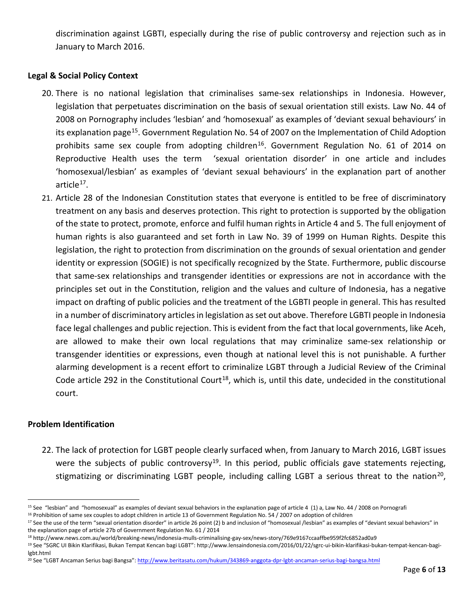discrimination against LGBTI, especially during the rise of public controversy and rejection such as in January to March 2016.

# **Legal & Social Policy Context**

- 20. There is no national legislation that criminalises same-sex relationships in Indonesia. However, legislation that perpetuates discrimination on the basis of sexual orientation still exists. Law No. 44 of 2008 on Pornography includes 'lesbian' and 'homosexual' as examples of 'deviant sexual behaviours' in its explanation page<sup>[15](#page-5-0)</sup>. Government Regulation No. 54 of 2007 on the Implementation of Child Adoption prohibits same sex couple from adopting children<sup>[16](#page-5-1)</sup>. Government Regulation No. 61 of 2014 on Reproductive Health uses the term 'sexual orientation disorder' in one article and includes 'homosexual/lesbian' as examples of 'deviant sexual behaviours' in the explanation part of another article $17$ .
- 21. Article 28 of the Indonesian Constitution states that everyone is entitled to be free of discriminatory treatment on any basis and deserves protection. This right to protection is supported by the obligation of the state to protect, promote, enforce and fulfil human rights in Article 4 and 5. The full enjoyment of human rights is also guaranteed and set forth in Law No. 39 of 1999 on Human Rights. Despite this legislation, the right to protection from discrimination on the grounds of sexual orientation and gender identity or expression (SOGIE) is not specifically recognized by the State. Furthermore, public discourse that same-sex relationships and transgender identities or expressions are not in accordance with the principles set out in the Constitution, religion and the values and culture of Indonesia, has a negative impact on drafting of public policies and the treatment of the LGBTI people in general. This has resulted in a number of discriminatory articles in legislation as set out above. Therefore LGBTI people in Indonesia face legal challenges and public rejection. This is evident from the fact that local governments, like Aceh, are allowed to make their own local regulations that may criminalize same-sex relationship or transgender identities or expressions, even though at national level this is not punishable. A further alarming development is a recent effort to criminalize LGBT through a Judicial Review of the Criminal Code article 292 in the Constitutional Court<sup>[18](#page-5-3)</sup>, which is, until this date, undecided in the constitutional court.

## **Problem Identification**

22. The lack of protection for LGBT people clearly surfaced when, from January to March 2016, LGBT issues were the subjects of public controversy<sup>19</sup>. In this period, public officials gave statements rejecting, stigmatizing or discriminating LGBT people, including calling LGBT a serious threat to the nation<sup>[20](#page-5-5)</sup>,

<span id="page-5-2"></span><span id="page-5-1"></span>

<span id="page-5-0"></span><sup>&</sup>lt;sup>15</sup> See "lesbian" and "homosexual" as examples of deviant sexual behaviors in the explanation page of article 4 (1) a, Law No. 44 / 2008 on Pornografi<br><sup>16</sup> Prohibition of same sex couples to adopt children in article 13 the explanation page of article 27b of Government Regulation No. 61 / 2014

<span id="page-5-3"></span><sup>18</sup> http://www.news.com.au/world/breaking-news/indonesia-mulls-criminalising-gay-sex/news-story/769e9167ccaaffbe959f2fc6852ad0a9

<span id="page-5-4"></span><sup>19</sup> See "SGRC UI Bikin Klarifikasi, Bukan Tempat Kencan bagi LGBT": http://www.lensaindonesia.com/2016/01/22/sgrc-ui-bikin-klarifikasi-bukan-tempat-kencan-bagilgbt.html

<span id="page-5-5"></span><sup>&</sup>lt;sup>20</sup> See "LGBT Ancaman Serius bagi Bangsa"[: http://www.beritasatu.com/hukum/343869-anggota-dpr-lgbt-ancaman-serius-bagi-bangsa.html](http://www.beritasatu.com/hukum/343869-anggota-dpr-lgbt-ancaman-serius-bagi-bangsa.html)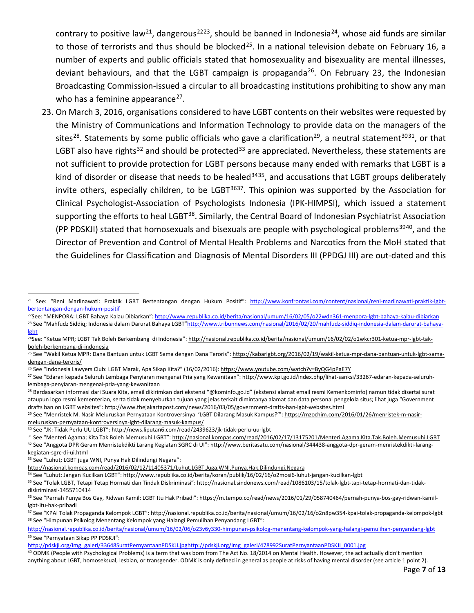contrary to positive law<sup>[21](#page-6-0)</sup>, dangerous<sup>22[23](#page-6-2)</sup>, should be banned in Indonesia<sup>[24](#page-6-3)</sup>, whose aid funds are similar to those of terrorists and thus should be blocked<sup>[25](#page-6-4)</sup>. In a national television debate on February 16, a number of experts and public officials stated that homosexuality and bisexuality are mental illnesses, deviant behaviours, and that the LGBT campaign is propaganda<sup>26</sup>. On February 23, the Indonesian Broadcasting Commission-issued a circular to all broadcasting institutions prohibiting to show any man who has a feminine appearance $^{27}$ .

23. On March 3, 2016, organisations considered to have LGBT contents on their websites were requested by the Ministry of Communications and Information Technology to provide data on the managers of the sites<sup>28</sup>. Statements by some public officials who gave a clarification<sup>29</sup>, a neutral statement<sup>[30](#page-6-9)31</sup>, or that LGBT also have rights<sup>[32](#page-6-11)</sup> and should be protected<sup>[33](#page-6-12)</sup> are appreciated. Nevertheless, these statements are not sufficient to provide protection for LGBT persons because many ended with remarks that LGBT is a kind of disorder or disease that needs to be healed<sup>[34](#page-6-13)35</sup>, and accusations that LGBT groups deliberately invite others, especially children, to be LGBT $3637$  $3637$ . This opinion was supported by the Association for Clinical Psychologist-Association of Psychologists Indonesia (IPK-HIMPSI), which issued a statement supporting the efforts to heal LGBT<sup>38</sup>. Similarly, the Central Board of Indonesian Psychiatrist Association (PP PDSKJI) stated that homosexuals and bisexuals are people with psychological problems<sup>[39](#page-6-18)40</sup>, and the Director of Prevention and Control of Mental Health Problems and Narcotics from the MoH stated that the Guidelines for Classification and Diagnosis of Mental Disorders III (PPDGJ III) are out-dated and this

<span id="page-6-7"></span><sup>28</sup> Berdasarkan informasi dari Suara Kita, email dikirimkan dari ekstensi "@kominfo.go.id" (ekstensi alamat email resmi Kemenkominfo) namun tidak disertai surat ataupun logo resmi kementerian, serta tidak menyebutkan tujuan yang jelas terkait dimintanya alamat dan data personal pengelola situs; lihat juga "Government drafts ban on LGBT websites"[: http://www.thejakartapost.com/news/2016/03/05/government-drafts-ban-lgbt-websites.html](http://www.thejakartapost.com/news/2016/03/05/government-drafts-ban-lgbt-websites.html)

<span id="page-6-8"></span><sup>29</sup> See "Menristek M. Nasir Meluruskan Pernyataan Kontroversinya 'LGBT Dilarang Masuk Kampus?'"[: https://mzochim.com/2016/01/26/menristek-m-nasir](https://mzochim.com/2016/01/26/menristek-m-nasir-meluruskan-pernyataan-kontroversinya-lgbt-dilarang-masuk-kampus/)[meluruskan-pernyataan-kontroversinya-lgbt-dilarang-masuk-kampus/](https://mzochim.com/2016/01/26/menristek-m-nasir-meluruskan-pernyataan-kontroversinya-lgbt-dilarang-masuk-kampus/)

kegiatan-sgrc-di-ui.html

<span id="page-6-12"></span><sup>33</sup> See "Luhut; LGBT juga WNI, Punya Hak Dilindungi Negara":

<span id="page-6-13"></span><sup>34</sup> See "Luhut: Jangan Kucilkan LGBT": http://www.republika.co.id/berita/koran/publik/16/02/16/o2mosi6-luhut-jangan-kucilkan-lgbt

[http://pdskji.org/img\\_galeri/33648SuratPernyantaanPDSKJI.jpghttp://pdskji.org/img\\_galeri/478992SuratPernyantaanPDSKJI\\_0001.jpg](http://pdskji.org/img_galeri/33648SuratPernyantaanPDSKJI.jpg)

<span id="page-6-0"></span><sup>&</sup>lt;sup>21</sup> See: "Reni Marlinawati: Praktik LGBT Bertentangan dengan Hukum Positif": [http://www.konfrontasi.com/content/nasional/reni-marlinawati-praktik-lgbt](http://www.konfrontasi.com/content/nasional/reni-marlinawati-praktik-lgbt-bertentangan-dengan-hukum-positif)[bertentangan-dengan-hukum-positif](http://www.konfrontasi.com/content/nasional/reni-marlinawati-praktik-lgbt-bertentangan-dengan-hukum-positif)

<span id="page-6-2"></span><span id="page-6-1"></span><sup>22</sup>See: "MENPORA: LGBT Bahaya Kalau Dibiarkan"[: http://www.republika.co.id/berita/nasional/umum/16/02/05/o22wdn361-menpora-lgbt-bahaya-kalau-dibiarkan](http://www.republika.co.id/berita/nasional/umum/16/02/05/o22wdn361-menpora-lgbt-bahaya-kalau-dibiarkan) <sup>23</sup> See "Mahfudz Siddiq; Indonesia dalam Darurat Bahaya LGBT["http://www.tribunnews.com/nasional/2016/02/20/mahfudz-siddiq-indonesia-dalam-darurat-bahaya](http://www.tribunnews.com/nasional/2016/02/20/mahfudz-siddiq-indonesia-dalam-darurat-bahaya-lgbt)[lgbt](http://www.tribunnews.com/nasional/2016/02/20/mahfudz-siddiq-indonesia-dalam-darurat-bahaya-lgbt)

<span id="page-6-3"></span><sup>&</sup>lt;sup>24</sup>See: "Ketua MPR; LGBT Tak Boleh Berkembang di Indonesia"[: http://nasional.republika.co.id/berita/nasional/umum/16/02/02/o1wkcr301-ketua-mpr-lgbt-tak](http://nasional.republika.co.id/berita/nasional/umum/16/02/02/o1wkcr301-ketua-mpr-lgbt-tak-boleh-berkembang-di-indonesia)[boleh-berkembang-di-indonesia](http://nasional.republika.co.id/berita/nasional/umum/16/02/02/o1wkcr301-ketua-mpr-lgbt-tak-boleh-berkembang-di-indonesia)

<span id="page-6-4"></span><sup>&</sup>lt;sup>25</sup> See "Wakil Ketua MPR: Dana Bantuan untuk LGBT Sama dengan Dana Teroris"[: https://kabarlgbt.org/2016/02/19/wakil-ketua-mpr-dana-bantuan-untuk-lgbt-sama](https://kabarlgbt.org/2016/02/19/wakil-ketua-mpr-dana-bantuan-untuk-lgbt-sama-dengan-dana-teroris/)[dengan-dana-teroris/](https://kabarlgbt.org/2016/02/19/wakil-ketua-mpr-dana-bantuan-untuk-lgbt-sama-dengan-dana-teroris/)

<span id="page-6-5"></span><sup>&</sup>lt;sup>26</sup> See "Indonesia Lawyers Club: LGBT Marak, Apa Sikap Kita?" (16/02/2016)[: https://www.youtube.com/watch?v=ByQG4pPaE7Y](https://www.youtube.com/watch?v=ByQG4pPaE7Y)

<span id="page-6-6"></span><sup>27</sup> See "Edaran kepada Seluruh Lembaga Penyiaran mengenai Pria yang Kewanitaan": http://www.kpi.go.id/index.php/lihat-sanksi/33267-edaran-kepada-seluruhlembaga-penyiaran-mengenai-pria-yang-kewanitaan

<span id="page-6-9"></span><sup>30</sup> See "JK: Tidak Perlu UU LGBT": http://news.liputan6.com/read/2439623/jk-tidak-perlu-uu-lgbt

<span id="page-6-11"></span><span id="page-6-10"></span><sup>31</sup> See "Menteri Agama; Kita Tak Boleh Memusuhi LGBT"[: http://nasional.kompas.com/read/2016/02/17/13175201/Menteri.Agama.Kita.Tak.Boleh.Memusuhi.LGBT](http://nasional.kompas.com/read/2016/02/17/13175201/Menteri.Agama.Kita.Tak.Boleh.Memusuhi.LGBT) 32 See "Anggota DPR Geram Menristekdikti Larang Kegiatan SGRC di UI": http://www.beritasatu.com/nasional/344438-anggota-dpr-geram-menristekdikti-larang-

<http://nasional.kompas.com/read/2016/02/12/11405371/Luhut.LGBT.Juga.WNI.Punya.Hak.Dilindungi.Negara>

<span id="page-6-14"></span><sup>35</sup> See "Tolak LGBT, Tetapi Tetap Hormati dan Tindak Diskriminasi": http://nasional.sindonews.com/read/1086103/15/tolak-lgbt-tapi-tetap-hormati-dan-tidakdiskriminasi-1455710414

<span id="page-6-15"></span><sup>36</sup> See "Pernah Punya Bos Gay, Ridwan Kamil: LGBT Itu Hak Pribadi": https://m.tempo.co/read/news/2016/01/29/058740464/pernah-punya-bos-gay-ridwan-kamillgbt-itu-hak-pribadi

<span id="page-6-17"></span><span id="page-6-16"></span><sup>37</sup> See "KPAI Tolak Propaganda Kelompok LGBT": http://nasional.republika.co.id/berita/nasional/umum/16/02/16/o2n8pw354-kpai-tolak-propaganda-kelompok-lgbt <sup>38</sup> See "Himpunan Psikolog Menentang Kelompok yang Halangi Pemulihan Penyandang LGBT":

<span id="page-6-18"></span><http://nasional.republika.co.id/berita/nasional/umum/16/02/06/o23v6y330-himpunan-psikolog-menentang-kelompok-yang-halangi-pemulihan-penyandang-lgbt> <sup>39</sup> See "Pernyataan Sikap PP PDSKJI":

<span id="page-6-19"></span><sup>40</sup> ODMK (People with Psychological Problems) is a term that was born from The Act No. 18/2014 on Mental Health. However, the act actually didn't mention anything about LGBT, homoseksual, lesbian, or transgender. ODMK is only defined in general as people at risks of having mental disorder (see article 1 point 2).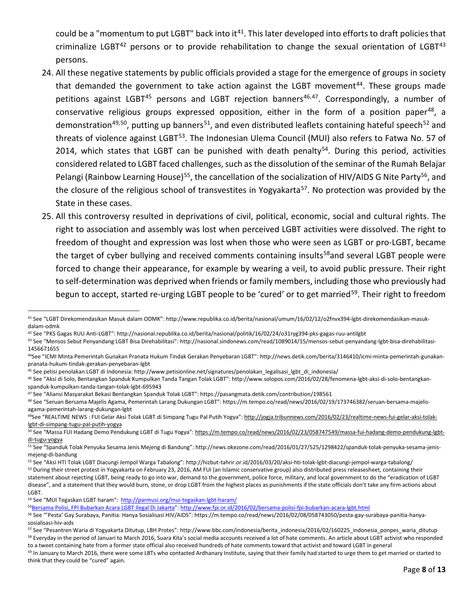could be a "momentum to put LGBT" back into it<sup>[41](#page-7-0)</sup>. This later developed into efforts to draft policies that criminalize LGBT $42$  persons or to provide rehabilitation to change the sexual orientation of LGBT $43$ persons.

- 24. All these negative statements by public officials provided a stage for the emergence of groups in society that demanded the government to take action against the LGBT movement<sup>44</sup>. These groups made petitions against LGBT<sup>[45](#page-7-4)</sup> persons and LGBT rejection banners<sup>[46,](#page-7-5)[47](#page-7-6)</sup>. Correspondingly, a number of conservative religious groups expressed opposition, either in the form of a position paper<sup>48</sup>, a demonstration<sup>[49](#page-7-8),50</sup>, putting up banners<sup>51</sup>, and even distributed leaflets containing hateful speech<sup>[52](#page-7-11)</sup> and threats of violence against LGBT<sup>[53](#page-7-12)</sup>. The Indonesian Ulema Council (MUI) also refers to Fatwa No. 57 of 2014, which states that LGBT can be punished with death penalty<sup>54</sup>. During this period, activities considered related to LGBT faced challenges, such as the dissolution of the seminar of the Rumah Belajar Pelangi (Rainbow Learning House)<sup>[55](#page-7-14)</sup>, the cancellation of the socialization of HIV/AIDS G Nite Party<sup>[56](#page-7-15)</sup>, and the closure of the religious school of transvestites in Yogyakarta<sup>[57](#page-7-16)</sup>. No protection was provided by the State in these cases.
- 25. All this controversy resulted in deprivations of civil, political, economic, social and cultural rights. The right to association and assembly was lost when perceived LGBT activities were dissolved. The right to freedom of thought and expression was lost when those who were seen as LGBT or pro-LGBT, became the target of cyber bullying and received comments containing insults<sup>[58](#page-7-17)</sup> and several LGBT people were forced to change their appearance, for example by wearing a veil, to avoid public pressure. Their right to self-determination was deprived when friends or family members, including those who previously had begun to accept, started re-urging LGBT people to be 'cured' or to get married<sup>59</sup>. Their right to freedom

<span id="page-7-0"></span> <sup>41</sup> See "LGBT Direkomendasikan Masuk dalam ODMK": http://www.republika.co.id/berita/nasional/umum/16/02/12/o2fnvx394-lgbt-direkomendasikan-masukdalam-odmk

<span id="page-7-1"></span><sup>42</sup> See "PKS Gagas RUU Anti-LGBT": http://nasional.republika.co.id/berita/nasional/politik/16/02/24/o31ryg394-pks-gagas-ruu-antilgbt

<span id="page-7-2"></span><sup>43</sup> See "Mensos Sebut Penyandang LGBT Bisa Direhabilitasi": http://nasional.sindonews.com/read/1089014/15/mensos-sebut-penyandang-lgbt-bisa-direhabilitasi-1456671655

<span id="page-7-3"></span><sup>44</sup>See "ICMI Minta Pemerintah Gunakan Pranata Hukum Tindak Gerakan Penyebaran LGBT": http://news.detik.com/berita/3146410/icmi-minta-pemerintah-gunakanpranata-hukum-tindak-gerakan-penyebaran-lgbt

<span id="page-7-4"></span><sup>&</sup>lt;sup>45</sup> See petisi penolakan LGBT di Indonesia: http://www.petisionline.net/signatures/penolakan\_legalisasi\_lgbt\_di\_indonesia/

<span id="page-7-5"></span><sup>46</sup> See "Aksi di Solo, Bentangkan Spanduk Kumpulkan Tanda Tangan Tolak LGBT": http://www.solopos.com/2016/02/28/fenomena-lgbt-aksi-di-solo-bentangkanspanduk-kumpulkan-tanda-tangan-tolak-lgbt-695943

<span id="page-7-6"></span><sup>47</sup> See "Aliansi Masyarakat Bekasi Bentangkan Spanduk Tolak LGBT": https://pasangmata.detik.com/contribution/198561

<span id="page-7-7"></span><sup>48</sup> See "Seruan Bersama Majelis Agama, Pemerintah Larang Dukungan LGBT": https://m.tempo.co/read/news/2016/02/19/173746382/seruan-bersama-majelisagama-pemerintah-larang-dukungan-lgbt

<span id="page-7-8"></span><sup>49</sup>See "REALTIME NEWS : FUI Gelar Aksi Tolak LGBT di Simpang Tugu Pal Putih Yogya"[: http://jogja.tribunnews.com/2016/02/23/realtime-news-fui-gelar-aksi-tolak](http://jogja.tribunnews.com/2016/02/23/realtime-news-fui-gelar-aksi-tolak-lgbt-di-simpang-tugu-pal-putih-yogya)[lgbt-di-simpang-tugu-pal-putih-yogya](http://jogja.tribunnews.com/2016/02/23/realtime-news-fui-gelar-aksi-tolak-lgbt-di-simpang-tugu-pal-putih-yogya)

<span id="page-7-9"></span><sup>&</sup>lt;sup>50</sup> See "Massa FUI Hadang Demo Pendukung LGBT di Tugu Yogya"[: https://m.tempo.co/read/news/2016/02/23/058747549/massa-fui-hadang-demo-pendukung-lgbt](https://m.tempo.co/read/news/2016/02/23/058747549/massa-fui-hadang-demo-pendukung-lgbt-di-tugu-yogya)[di-tugu-yogya](https://m.tempo.co/read/news/2016/02/23/058747549/massa-fui-hadang-demo-pendukung-lgbt-di-tugu-yogya)

<span id="page-7-10"></span><sup>51</sup> See "Spanduk Tolak Penyuka Sesama Jenis Mejeng di Bandung": http://news.okezone.com/read/2016/01/27/525/1298422/spanduk-tolak-penyuka-sesama-jenismejeng-di-bandung

<span id="page-7-11"></span><sup>52</sup> See "Aksi HTI Tolak LGBT Diacungi Jempol Warga Tabalong": http://hizbut-tahrir.or.id/2016/03/20/aksi-hti-tolak-lgbt-diacungi-jempol-warga-tabalong/

<span id="page-7-12"></span><sup>&</sup>lt;sup>53</sup> During their street protest in Yogyakarta on February 23, 2016, AM FUI (an Islamic conservative group) also distributed press releasesheet, containing their statement about rejecting LGBT, being ready to go into war, demand to the government, police force, military, and local government to do the "eradication of LGBT disease", and a statement that they would burn, stone, or drop LGBT from the highest places as punishments if the state officials don't take any firm actions about LGBT.

<span id="page-7-13"></span><sup>54</sup> See "MUI Tegaskan LGBT haram":<http://parmusi.org/mui-tegaskan-lgbt-haram/>

<span id="page-7-14"></span><sup>&</sup>lt;sup>55</sup>Bersama Polisi, FPI Bubarkan Acara LGBT Ilegal Di Jakarta": http://www.fpi.or.id/2016/02/bersama-polisi-fpi-bubarkan-acara-Igbt.html

<span id="page-7-15"></span><sup>56</sup> See "'Pesta' Gay Surabaya, Panitia: Hanya Sosialisasi HIV/AIDS": https://m.tempo.co/read/news/2016/02/08/058743050/pesta-gay-surabaya-panitia-hanyasosialisasi-hiv-aids

<span id="page-7-17"></span><span id="page-7-16"></span><sup>57</sup> See "Pesantren Waria di Yogyakarta Ditutup, LBH Protes": http://www.bbc.com/indonesia/berita\_indonesia/2016/02/160225\_indonesia\_ponpes\_waria\_ditutup <sup>58</sup> Everyday in the period of Januari to March 2016, Suara Kita's social media accounts received a lot of hate comments. An article about LGBT activist who responded to a tweet containing hate from a former state official also received hundreds of hate comments toward that activist and toward LGBT in general

<span id="page-7-18"></span><sup>59</sup> In January to March 2016, there were some LBTs who contacted Ardhanary Institute, saying that their family had started to urge them to get married or started to think that they could be "cured" again.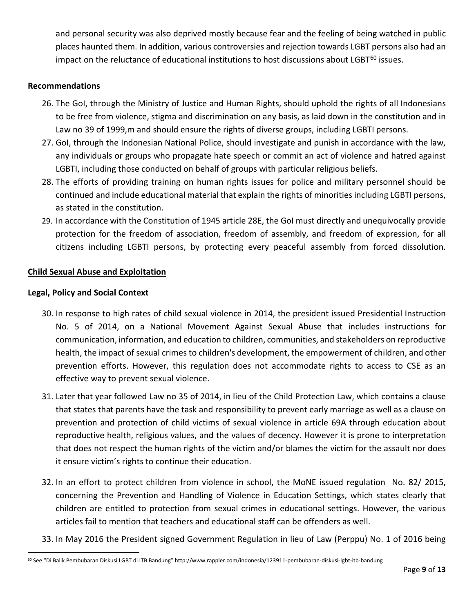and personal security was also deprived mostly because fear and the feeling of being watched in public places haunted them. In addition, various controversies and rejection towards LGBT persons also had an impact on the reluctance of educational institutions to host discussions about LGBT<sup>[60](#page-8-0)</sup> issues.

### **Recommendations**

- 26. The GoI, through the Ministry of Justice and Human Rights, should uphold the rights of all Indonesians to be free from violence, stigma and discrimination on any basis, as laid down in the constitution and in Law no 39 of 1999,m and should ensure the rights of diverse groups, including LGBTI persons.
- 27. GoI, through the Indonesian National Police, should investigate and punish in accordance with the law, any individuals or groups who propagate hate speech or commit an act of violence and hatred against LGBTI, including those conducted on behalf of groups with particular religious beliefs.
- 28. The efforts of providing training on human rights issues for police and military personnel should be continued and include educational material that explain the rights of minorities including LGBTI persons, as stated in the constitution.
- 29. In accordance with the Constitution of 1945 article 28E, the GoI must directly and unequivocally provide protection for the freedom of association, freedom of assembly, and freedom of expression, for all citizens including LGBTI persons, by protecting every peaceful assembly from forced dissolution.

### **Child Sexual Abuse and Exploitation**

### **Legal, Policy and Social Context**

- 30. In response to high rates of child sexual violence in 2014, the president issued Presidential Instruction No. 5 of 2014, on a National Movement Against Sexual Abuse that includes instructions for communication, information, and education to children, communities, and stakeholders on reproductive health, the impact of sexual crimes to children's development, the empowerment of children, and other prevention efforts. However, this regulation does not accommodate rights to access to CSE as an effective way to prevent sexual violence.
- 31. Later that year followed Law no 35 of 2014, in lieu of the Child Protection Law, which contains a clause that states that parents have the task and responsibility to prevent early marriage as well as a clause on prevention and protection of child victims of sexual violence in article 69A through education about reproductive health, religious values, and the values of decency. However it is prone to interpretation that does not respect the human rights of the victim and/or blames the victim for the assault nor does it ensure victim's rights to continue their education.
- 32. In an effort to protect children from violence in school, the MoNE issued regulation No. 82/ 2015, concerning the Prevention and Handling of Violence in Education Settings, which states clearly that children are entitled to protection from sexual crimes in educational settings. However, the various articles fail to mention that teachers and educational staff can be offenders as well.
- 33. In May 2016 the President signed Government Regulation in lieu of Law (Perppu) No. 1 of 2016 being

<span id="page-8-0"></span> <sup>60</sup> See "Di Balik Pembubaran Diskusi LGBT di ITB Bandung" http://www.rappler.com/indonesia/123911-pembubaran-diskusi-lgbt-itb-bandung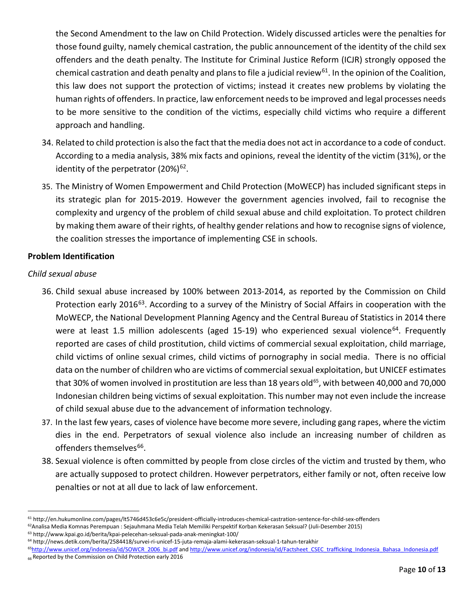the Second Amendment to the law on Child Protection. Widely discussed articles were the penalties for those found guilty, namely chemical castration, the public announcement of the identity of the child sex offenders and the death penalty. The Institute for Criminal Justice Reform (ICJR) strongly opposed the chemical castration and death penalty and plans to file a judicial review<sup>61</sup>. In the opinion of the Coalition, this law does not support the protection of victims; instead it creates new problems by violating the human rights of offenders. In practice, law enforcement needs to be improved and legal processes needs to be more sensitive to the condition of the victims, especially child victims who require a different approach and handling.

- 34. Related to child protection is also the fact that the media does not act in accordance to a code of conduct. According to a media analysis, 38% mix facts and opinions, reveal the identity of the victim (31%), or the identity of the perpetrator  $(20\%)^{62}$ .
- 35. The Ministry of Women Empowerment and Child Protection (MoWECP) has included significant steps in its strategic plan for 2015-2019. However the government agencies involved, fail to recognise the complexity and urgency of the problem of child sexual abuse and child exploitation. To protect children by making them aware of their rights, of healthy gender relations and how to recognise signs of violence, the coalition stresses the importance of implementing CSE in schools.

# **Problem Identification**

## *Child sexual abuse*

- 36. Child sexual abuse increased by 100% between 2013-2014, as reported by the Commission on Child Protection early 2016<sup>63</sup>. According to a survey of the Ministry of Social Affairs in cooperation with the MoWECP, the National Development Planning Agency and the Central Bureau of Statistics in 2014 there were at least 1.5 million adolescents (aged 15-19) who experienced sexual violence<sup>[64](#page-9-3)</sup>. Frequently reported are cases of child prostitution, child victims of commercial sexual exploitation, child marriage, child victims of online sexual crimes, child victims of pornography in social media. There is no official data on the number of children who are victims of commercial sexual exploitation, but UNICEF estimates that 30% of women involved in prostitution are less than 18 years old<sup>65</sup>, with between 40,000 and 70,000 Indonesian children being victims of sexual exploitation. This number may not even include the increase of child sexual abuse due to the advancement of information technology.
- 37. In the last few years, cases of violence have become more severe, including gang rapes, where the victim dies in the end. Perpetrators of sexual violence also include an increasing number of children as offenders themselves<sup>66</sup>.
- 38. Sexual violence is often committed by people from close circles of the victim and trusted by them, who are actually supposed to protect children. However perpetrators, either family or not, often receive low penalties or not at all due to lack of law enforcement.

<span id="page-9-2"></span><sup>63</sup> http://www.kpai.go.id/berita/kpai-pelecehan-seksual-pada-anak-meningkat-100/

<span id="page-9-0"></span> <sup>61</sup> http://en.hukumonline.com/pages/lt5746d453c6e5c/president-officially-introduces-chemical-castration-sentence-for-child-sex-offenders

<span id="page-9-1"></span><sup>62</sup>Analisa Media Komnas Perempuan : Sejauhmana Media Telah Memiliki Perspektif Korban Kekerasan Seksual? (Juli-Desember 2015)

<span id="page-9-3"></span><sup>64</sup> http://news.detik.com/berita/2584418/survei-ri-unicef-15-juta-remaja-alami-kekerasan-seksual-1-tahun-terakhir

<span id="page-9-5"></span><span id="page-9-4"></span><sup>&</sup>lt;sup>65</sup>http://www.unicef.org/indonesia/id/SOWCR\_2006\_bi.pdf an[d http://www.unicef.org/indonesia/id/Factsheet\\_CSEC\\_trafficking\\_Indonesia\\_Bahasa\\_Indonesia.pdf](http://www.unicef.org/indonesia/id/Factsheet_CSEC_trafficking_Indonesia_Bahasa_Indonesia.pdf) 66 Reported by the Commission on Child Protection early 2016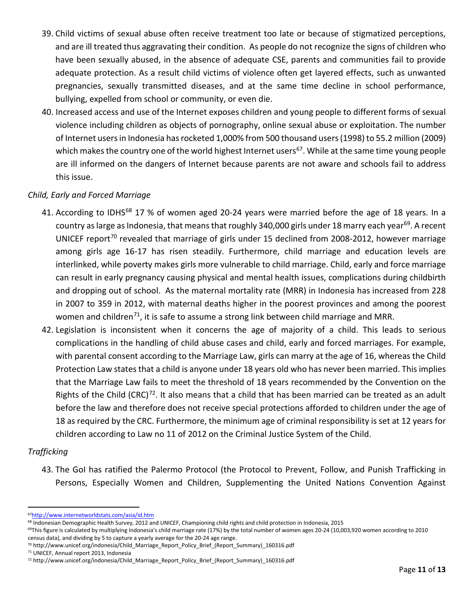- 39. Child victims of sexual abuse often receive treatment too late or because of stigmatized perceptions, and are ill treated thus aggravating their condition. As people do not recognize the signs of children who have been sexually abused, in the absence of adequate CSE, parents and communities fail to provide adequate protection. As a result child victims of violence often get layered effects, such as unwanted pregnancies, sexually transmitted diseases, and at the same time decline in school performance, bullying, expelled from school or community, or even die.
- 40. Increased access and use of the Internet exposes children and young people to different forms of sexual violence including children as objects of pornography, online sexual abuse or exploitation. The number of Internet users in Indonesia has rocketed 1,000% from 500 thousand users (1998) to 55.2 million (2009) which makes the country one of the world highest Internet users<sup>[67](#page-10-0)</sup>. While at the same time young people are ill informed on the dangers of Internet because parents are not aware and schools fail to address this issue.

# *Child, Early and Forced Marriage*

- 41. According to IDHS<sup>[68](#page-10-1)</sup> 17 % of women aged 20-24 years were married before the age of 18 years. In a country as large as Indonesia, that means that roughly 340,000 girls under 18 marry each year<sup>[69](#page-10-2)</sup>. A recent UNICEF report<sup>[70](#page-10-3)</sup> revealed that marriage of girls under 15 declined from 2008-2012, however marriage among girls age 16-17 has risen steadily. Furthermore, child marriage and education levels are interlinked, while poverty makes girls more vulnerable to child marriage. Child, early and force marriage can result in early pregnancy causing physical and mental health issues, complications during childbirth and dropping out of school. As the maternal mortality rate (MRR) in Indonesia has increased from 228 in 2007 to 359 in 2012, with maternal deaths higher in the poorest provinces and among the poorest women and children<sup>71</sup>, it is safe to assume a strong link between child marriage and MRR.
- 42. Legislation is inconsistent when it concerns the age of majority of a child. This leads to serious complications in the handling of child abuse cases and child, early and forced marriages. For example, with parental consent according to the Marriage Law, girls can marry at the age of 16, whereas the Child Protection Law states that a child is anyone under 18 years old who has never been married. This implies that the Marriage Law fails to meet the threshold of 18 years recommended by the Convention on the Rights of the Child (CRC)<sup>72</sup>. It also means that a child that has been married can be treated as an adult before the law and therefore does not receive special protections afforded to children under the age of 18 as required by the CRC. Furthermore, the minimum age of criminal responsibility is set at 12 years for children according to Law no 11 of 2012 on the Criminal Justice System of the Child.

## *Trafficking*

43. The GoI has ratified the Palermo Protocol (the Protocol to Prevent, Follow, and Punish Trafficking in Persons, Especially Women and Children, Supplementing the United Nations Convention Against

<span id="page-10-0"></span> <sup>6</sup>[7http://www.internetworldstats.com/asia/id.htm](http://www.internetworldstats.com/asia/id.htm)

<span id="page-10-1"></span><sup>68</sup> Indonesian Demographic Health Survey, 2012 and UNICEF, Championing child rights and child protection in Indonesia, 2015

<span id="page-10-2"></span> $69$ This figure is calculated by multiplying Indonesia's child marriage rate (17%) by the total number of women ages 20-24 (10,003,920 women according to 2010 census data), and dividing by 5 to capture a yearly average for the 20-24 age range.

<span id="page-10-3"></span><sup>70</sup> http://www.unicef.org/indonesia/Child\_Marriage\_Report\_Policy\_Brief\_(Report\_Summary)\_160316.pdf

<span id="page-10-4"></span><sup>71</sup> UNICEF, Annual report 2013, Indonesia

<span id="page-10-5"></span><sup>72</sup> http://www.unicef.org/indonesia/Child\_Marriage\_Report\_Policy\_Brief\_(Report\_Summary)\_160316.pdf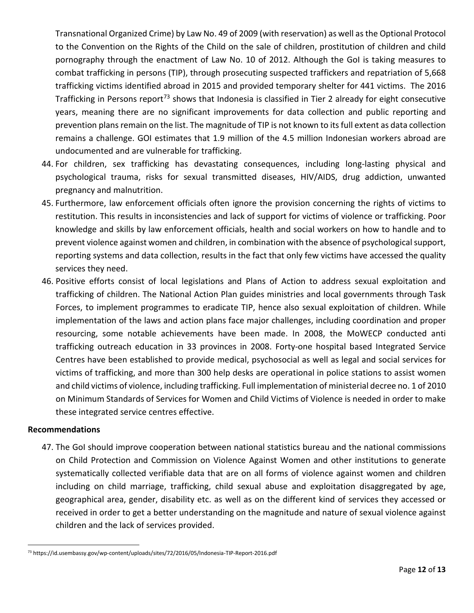Transnational Organized Crime) by Law No. 49 of 2009 (with reservation) as well as the Optional Protocol to the Convention on the Rights of the Child on the sale of children, prostitution of children and child pornography through the enactment of Law No. 10 of 2012. Although the GoI is taking measures to combat trafficking in persons (TIP), through prosecuting suspected traffickers and repatriation of 5,668 trafficking victims identified abroad in 2015 and provided temporary shelter for 441 victims. The 2016 Trafficking in Persons report<sup>[73](#page-11-0)</sup> shows that Indonesia is classified in Tier 2 already for eight consecutive years, meaning there are no significant improvements for data collection and public reporting and prevention plans remain on the list. The magnitude of TIP is not known to its full extent as data collection remains a challenge. GOI estimates that 1.9 million of the 4.5 million Indonesian workers abroad are undocumented and are vulnerable for trafficking.

- 44. For children, sex trafficking has devastating consequences, including long-lasting physical and psychological trauma, risks for sexual transmitted diseases, HIV/AIDS, drug addiction, unwanted pregnancy and malnutrition.
- 45. Furthermore, law enforcement officials often ignore the provision concerning the rights of victims to restitution. This results in inconsistencies and lack of support for victims of violence or trafficking. Poor knowledge and skills by law enforcement officials, health and social workers on how to handle and to prevent violence against women and children, in combination with the absence of psychological support, reporting systems and data collection, results in the fact that only few victims have accessed the quality services they need.
- 46. Positive efforts consist of local legislations and Plans of Action to address sexual exploitation and trafficking of children. The National Action Plan guides ministries and local governments through Task Forces, to implement programmes to eradicate TIP, hence also sexual exploitation of children. While implementation of the laws and action plans face major challenges, including coordination and proper resourcing, some notable achievements have been made. In 2008, the MoWECP conducted anti trafficking outreach education in 33 provinces in 2008. Forty-one hospital based Integrated Service Centres have been established to provide medical, psychosocial as well as legal and social services for victims of trafficking, and more than 300 help desks are operational in police stations to assist women and child victims of violence, including trafficking. Full implementation of ministerial decree no. 1 of 2010 on Minimum Standards of Services for Women and Child Victims of Violence is needed in order to make these integrated service centres effective.

## **Recommendations**

47. The GoI should improve cooperation between national statistics bureau and the national commissions on Child Protection and Commission on Violence Against Women and other institutions to generate systematically collected verifiable data that are on all forms of violence against women and children including on child marriage, trafficking, child sexual abuse and exploitation disaggregated by age, geographical area, gender, disability etc. as well as on the different kind of services they accessed or received in order to get a better understanding on the magnitude and nature of sexual violence against children and the lack of services provided.

<span id="page-11-0"></span> <sup>73</sup> https://id.usembassy.gov/wp-content/uploads/sites/72/2016/05/Indonesia-TIP-Report-2016.pdf